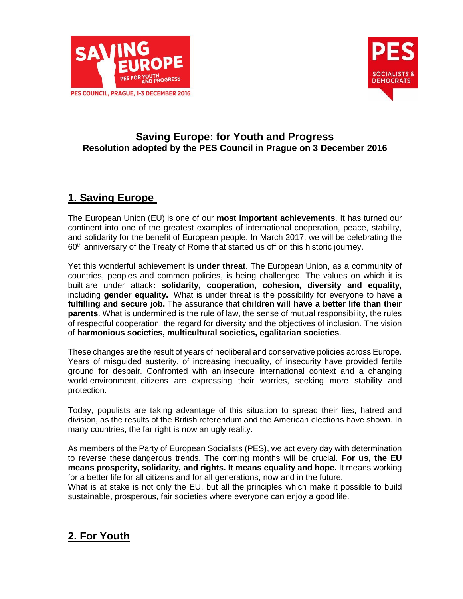



### **Saving Europe: for Youth and Progress Resolution adopted by the PES Council in Prague on 3 December 2016**

## **1. Saving Europe**

The European Union (EU) is one of our **most important achievements**. It has turned our continent into one of the greatest examples of international cooperation, peace, stability, and solidarity for the benefit of European people. In March 2017, we will be celebrating the 60<sup>th</sup> anniversary of the Treaty of Rome that started us off on this historic journey.

Yet this wonderful achievement is **under threat**. The European Union, as a community of countries, peoples and common policies, is being challenged. The values on which it is built are under attack**: solidarity, cooperation, cohesion, diversity and equality,**  including **gender equality.** What is under threat is the possibility for everyone to have **a fulfilling and secure job.** The assurance that **children will have a better life than their parents**. What is undermined is the rule of law, the sense of mutual responsibility, the rules of respectful cooperation, the regard for diversity and the objectives of inclusion. The vision of **harmonious societies, multicultural societies, egalitarian societies**.

These changes are the result of years of neoliberal and conservative policies across Europe. Years of misguided austerity, of increasing inequality, of insecurity have provided fertile ground for despair. Confronted with an insecure international context and a changing world environment, citizens are expressing their worries, seeking more stability and protection.

Today, populists are taking advantage of this situation to spread their lies, hatred and division, as the results of the British referendum and the American elections have shown. In many countries, the far right is now an ugly reality.

As members of the Party of European Socialists (PES), we act every day with determination to reverse these dangerous trends. The coming months will be crucial. **For us, the EU means prosperity, solidarity, and rights. It means equality and hope.** It means working for a better life for all citizens and for all generations, now and in the future.

What is at stake is not only the EU, but all the principles which make it possible to build sustainable, prosperous, fair societies where everyone can enjoy a good life.

# **2. For Youth**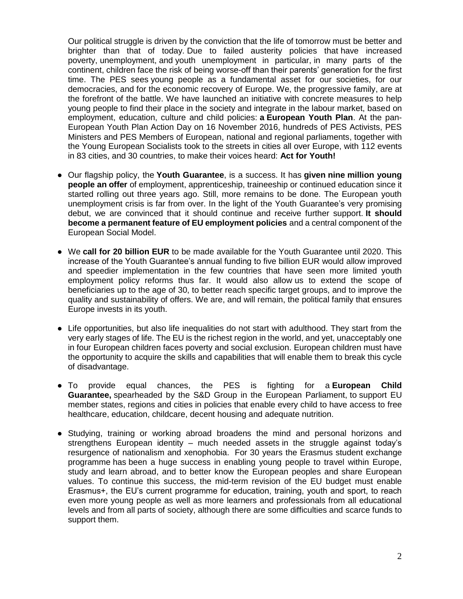Our political struggle is driven by the conviction that the life of tomorrow must be better and brighter than that of today. Due to failed austerity policies that have increased poverty, unemployment, and youth unemployment in particular, in many parts of the continent, children face the risk of being worse-off than their parents' generation for the first time. The PES sees young people as a fundamental asset for our societies, for our democracies, and for the economic recovery of Europe. We, the progressive family, are at the forefront of the battle. We have launched an initiative with concrete measures to help young people to find their place in the society and integrate in the labour market, based on employment, education, culture and child policies: **a European Youth Plan**. At the pan-European Youth Plan Action Day on 16 November 2016, hundreds of PES Activists, PES Ministers and PES Members of European, national and regional parliaments, together with the Young European Socialists took to the streets in cities all over Europe, with 112 events in 83 cities, and 30 countries, to make their voices heard: **Act for Youth!**

- Our flagship policy, the **Youth Guarantee**, is a success. It has **given nine million young people an offer** of employment, apprenticeship, traineeship or continued education since it started rolling out three years ago. Still, more remains to be done. The European youth unemployment crisis is far from over. In the light of the Youth Guarantee's very promising debut, we are convinced that it should continue and receive further support. **It should become a permanent feature of EU employment policies** and a central component of the European Social Model.
- We **call for 20 billion EUR** to be made available for the Youth Guarantee until 2020. This increase of the Youth Guarantee's annual funding to five billion EUR would allow improved and speedier implementation in the few countries that have seen more limited youth employment policy reforms thus far. It would also allow us to extend the scope of beneficiaries up to the age of 30, to better reach specific target groups, and to improve the quality and sustainability of offers. We are, and will remain, the political family that ensures Europe invests in its youth.
- Life opportunities, but also life inequalities do not start with adulthood. They start from the very early stages of life. The EU is the richest region in the world, and yet, unacceptably one in four European children faces poverty and social exclusion. European children must have the opportunity to acquire the skills and capabilities that will enable them to break this cycle of disadvantage.
- To provide equal chances, the PES is fighting for a **European Child Guarantee,** spearheaded by the S&D Group in the European Parliament, to support EU member states, regions and cities in policies that enable every child to have access to free healthcare, education, childcare, decent housing and adequate nutrition.
- Studying, training or working abroad broadens the mind and personal horizons and strengthens European identity – much needed assets in the struggle against today's resurgence of nationalism and xenophobia. For 30 years the Erasmus student exchange programme has been a huge success in enabling young people to travel within Europe, study and learn abroad, and to better know the European peoples and share European values. To continue this success, the mid-term revision of the EU budget must enable Erasmus+, the EU's current programme for education, training, youth and sport, to reach even more young people as well as more learners and professionals from all educational levels and from all parts of society, although there are some difficulties and scarce funds to support them.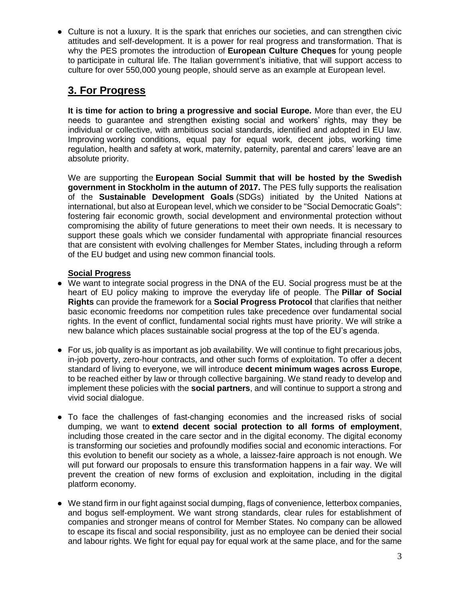● Culture is not a luxury. It is the spark that enriches our societies, and can strengthen civic attitudes and self-development. It is a power for real progress and transformation. That is why the PES promotes the introduction of **European Culture Cheques** for young people to participate in cultural life. The Italian government's initiative, that will support access to culture for over 550,000 young people, should serve as an example at European level.

# **3. For Progress**

**It is time for action to bring a progressive and social Europe.** More than ever, the EU needs to guarantee and strengthen existing social and workers' rights, may they be individual or collective, with ambitious social standards, identified and adopted in EU law. Improving working conditions, equal pay for equal work, decent jobs, working time regulation, health and safety at work, maternity, paternity, parental and carers' leave are an absolute priority.

We are supporting the **European Social Summit that will be hosted by the Swedish government in Stockholm in the autumn of 2017.** The PES fully supports the realisation of the **Sustainable Development Goals** (SDGs) initiated by the United Nations at international, but also at European level, which we consider to be "Social Democratic Goals": fostering fair economic growth, social development and environmental protection without compromising the ability of future generations to meet their own needs. It is necessary to support these goals which we consider fundamental with appropriate financial resources that are consistent with evolving challenges for Member States, including through a reform of the EU budget and using new common financial tools.

### **Social Progress**

- We want to integrate social progress in the DNA of the EU. Social progress must be at the heart of EU policy making to improve the everyday life of people. The **Pillar of Social Rights** can provide the framework for a **Social Progress Protocol** that clarifies that neither basic economic freedoms nor competition rules take precedence over fundamental social rights. In the event of conflict, fundamental social rights must have priority. We will strike a new balance which places sustainable social progress at the top of the EU's agenda.
- For us, job quality is as important as job availability. We will continue to fight precarious jobs, in-job poverty, zero-hour contracts, and other such forms of exploitation. To offer a decent standard of living to everyone, we will introduce **decent minimum wages across Europe**, to be reached either by law or through collective bargaining. We stand ready to develop and implement these policies with the **social partners**, and will continue to support a strong and vivid social dialogue.
- To face the challenges of fast-changing economies and the increased risks of social dumping, we want to **extend decent social protection to all forms of employment**, including those created in the care sector and in the digital economy. The digital economy is transforming our societies and profoundly modifies social and economic interactions. For this evolution to benefit our society as a whole, a laissez-faire approach is not enough. We will put forward our proposals to ensure this transformation happens in a fair way. We will prevent the creation of new forms of exclusion and exploitation, including in the digital platform economy.
- We stand firm in our fight against social dumping, flags of convenience, letterbox companies, and bogus self-employment. We want strong standards, clear rules for establishment of companies and stronger means of control for Member States. No company can be allowed to escape its fiscal and social responsibility, just as no employee can be denied their social and labour rights. We fight for equal pay for equal work at the same place, and for the same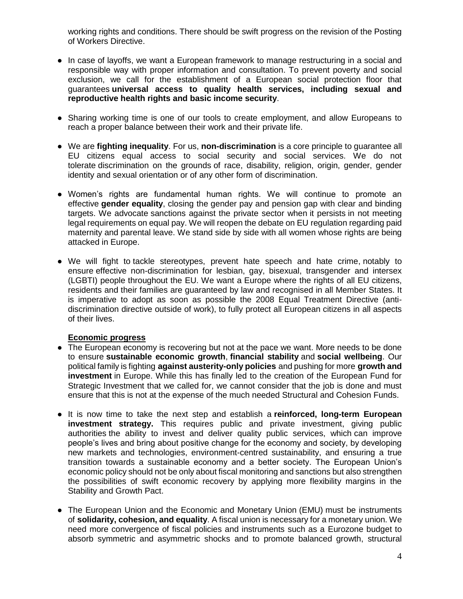working rights and conditions. There should be swift progress on the revision of the Posting of Workers Directive.

- In case of layoffs, we want a European framework to manage restructuring in a social and responsible way with proper information and consultation. To prevent poverty and social exclusion, we call for the establishment of a European social protection floor that guarantees **universal access to quality health services, including sexual and reproductive health rights and basic income security**.
- Sharing working time is one of our tools to create employment, and allow Europeans to reach a proper balance between their work and their private life.
- We are **fighting inequality**. For us, **non-discrimination** is a core principle to guarantee all EU citizens equal access to social security and social services. We do not tolerate discrimination on the grounds of race, disability, religion, origin, gender, gender identity and sexual orientation or of any other form of discrimination.
- Women's rights are fundamental human rights. We will continue to promote an effective **gender equality**, closing the gender pay and pension gap with clear and binding targets. We advocate sanctions against the private sector when it persists in not meeting legal requirements on equal pay. We will reopen the debate on EU regulation regarding paid maternity and parental leave. We stand side by side with all women whose rights are being attacked in Europe.
- We will fight to tackle stereotypes, prevent hate speech and hate crime, notably to ensure effective non-discrimination for lesbian, gay, bisexual, transgender and intersex (LGBTI) people throughout the EU. We want a Europe where the rights of all EU citizens, residents and their families are guaranteed by law and recognised in all Member States. It is imperative to adopt as soon as possible the 2008 Equal Treatment Directive (antidiscrimination directive outside of work), to fully protect all European citizens in all aspects of their lives.

#### **Economic progress**

- The European economy is recovering but not at the pace we want. More needs to be done to ensure **sustainable economic growth**, **financial stability** and **social wellbeing**. Our political family is fighting **against austerity-only policies** and pushing for more **growth and investment** in Europe. While this has finally led to the creation of the European Fund for Strategic Investment that we called for, we cannot consider that the job is done and must ensure that this is not at the expense of the much needed Structural and Cohesion Funds.
- It is now time to take the next step and establish a **reinforced, long-term European investment strategy.** This requires public and private investment, giving public authorities the ability to invest and deliver quality public services, which can improve people's lives and bring about positive change for the economy and society, by developing new markets and technologies, environment-centred sustainability, and ensuring a true transition towards a sustainable economy and a better society. The European Union's economic policy should not be only about fiscal monitoring and sanctions but also strengthen the possibilities of swift economic recovery by applying more flexibility margins in the Stability and Growth Pact.
- The European Union and the Economic and Monetary Union (EMU) must be instruments of **solidarity, cohesion, and equality**. A fiscal union is necessary for a monetary union. We need more convergence of fiscal policies and instruments such as a Eurozone budget to absorb symmetric and asymmetric shocks and to promote balanced growth, structural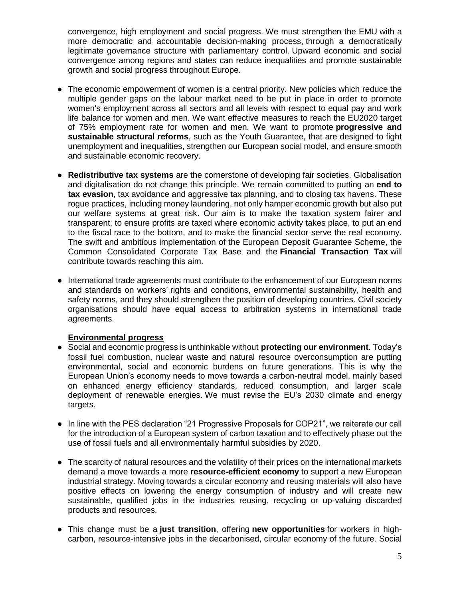convergence, high employment and social progress. We must strengthen the EMU with a more democratic and accountable decision-making process, through a democratically legitimate governance structure with parliamentary control. Upward economic and social convergence among regions and states can reduce inequalities and promote sustainable growth and social progress throughout Europe.

- The economic empowerment of women is a central priority. New policies which reduce the multiple gender gaps on the labour market need to be put in place in order to promote women's employment across all sectors and all levels with respect to equal pay and work life balance for women and men. We want effective measures to reach the EU2020 target of 75% employment rate for women and men. We want to promote **progressive and sustainable structural reforms**, such as the Youth Guarantee, that are designed to fight unemployment and inequalities, strengthen our European social model, and ensure smooth and sustainable economic recovery.
- **Redistributive tax systems** are the cornerstone of developing fair societies. Globalisation and digitalisation do not change this principle. We remain committed to putting an **end to tax evasion**, tax avoidance and aggressive tax planning, and to closing tax havens. These rogue practices, including money laundering, not only hamper economic growth but also put our welfare systems at great risk. Our aim is to make the taxation system fairer and transparent, to ensure profits are taxed where economic activity takes place, to put an end to the fiscal race to the bottom, and to make the financial sector serve the real economy. The swift and ambitious implementation of the European Deposit Guarantee Scheme, the Common Consolidated Corporate Tax Base and the **Financial Transaction Tax** will contribute towards reaching this aim.
- International trade agreements must contribute to the enhancement of our European norms and standards on workers' rights and conditions, environmental sustainability, health and safety norms, and they should strengthen the position of developing countries. Civil society organisations should have equal access to arbitration systems in international trade agreements.

#### **Environmental progress**

- Social and economic progress is unthinkable without **protecting our environment**. Today's fossil fuel combustion, nuclear waste and natural resource overconsumption are putting environmental, social and economic burdens on future generations. This is why the European Union's economy needs to move towards a carbon-neutral model, mainly based on enhanced energy efficiency standards, reduced consumption, and larger scale deployment of renewable energies. We must revise the EU's 2030 climate and energy targets.
- In line with the PES declaration "21 Progressive Proposals for COP21", we reiterate our call for the introduction of a European system of carbon taxation and to effectively phase out the use of fossil fuels and all environmentally harmful subsidies by 2020.
- The scarcity of natural resources and the volatility of their prices on the international markets demand a move towards a more **resource-efficient economy** to support a new European industrial strategy. Moving towards a circular economy and reusing materials will also have positive effects on lowering the energy consumption of industry and will create new sustainable, qualified jobs in the industries reusing, recycling or up-valuing discarded products and resources.
- This change must be a **just transition**, offering **new opportunities** for workers in highcarbon, resource-intensive jobs in the decarbonised, circular economy of the future. Social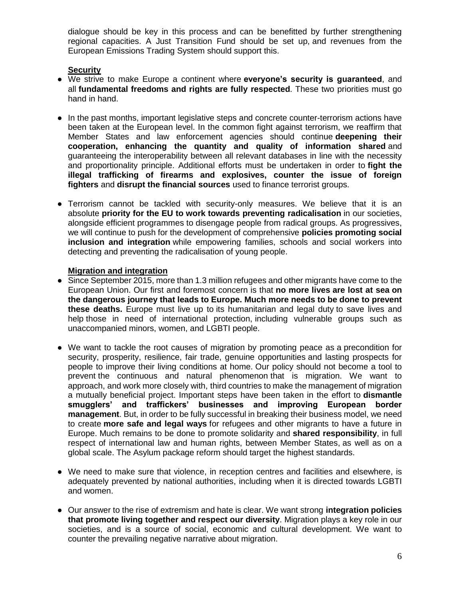dialogue should be key in this process and can be benefitted by further strengthening regional capacities. A Just Transition Fund should be set up, and revenues from the European Emissions Trading System should support this.

#### **Security**

- We strive to make Europe a continent where **everyone's security is guaranteed**, and all **fundamental freedoms and rights are fully respected**. These two priorities must go hand in hand.
- In the past months, important legislative steps and concrete counter-terrorism actions have been taken at the European level. In the common fight against terrorism, we reaffirm that Member States and law enforcement agencies should continue **deepening their cooperation, enhancing the quantity and quality of information shared** and guaranteeing the interoperability between all relevant databases in line with the necessity and proportionality principle. Additional efforts must be undertaken in order to **fight the illegal trafficking of firearms and explosives, counter the issue of foreign fighters** and **disrupt the financial sources** used to finance terrorist groups.
- Terrorism cannot be tackled with security-only measures. We believe that it is an absolute **priority for the EU to work towards preventing radicalisation** in our societies, alongside efficient programmes to disengage people from radical groups. As progressives, we will continue to push for the development of comprehensive **policies promoting social inclusion and integration** while empowering families, schools and social workers into detecting and preventing the radicalisation of young people.

#### **Migration and integration**

- Since September 2015, more than 1.3 million refugees and other migrants have come to the European Union. Our first and foremost concern is that **no more lives are lost at sea on the dangerous journey that leads to Europe. Much more needs to be done to prevent these deaths.** Europe must live up to its humanitarian and legal duty to save lives and help those in need of international protection, including vulnerable groups such as unaccompanied minors, women, and LGBTI people.
- We want to tackle the root causes of migration by promoting peace as a precondition for security, prosperity, resilience, fair trade, genuine opportunities and lasting prospects for people to improve their living conditions at home. Our policy should not become a tool to prevent the continuous and natural phenomenon that is migration. We want to approach, and work more closely with, third countries to make the management of migration a mutually beneficial project. Important steps have been taken in the effort to **dismantle smugglers' and traffickers' businesses and improving European border management**. But, in order to be fully successful in breaking their business model, we need to create **more safe and legal ways** for refugees and other migrants to have a future in Europe. Much remains to be done to promote solidarity and **shared responsibility**, in full respect of international law and human rights, between Member States, as well as on a global scale. The Asylum package reform should target the highest standards.
- We need to make sure that violence, in reception centres and facilities and elsewhere, is adequately prevented by national authorities, including when it is directed towards LGBTI and women.
- Our answer to the rise of extremism and hate is clear. We want strong **integration policies that promote living together and respect our diversity**. Migration plays a key role in our societies, and is a source of social, economic and cultural development. We want to counter the prevailing negative narrative about migration.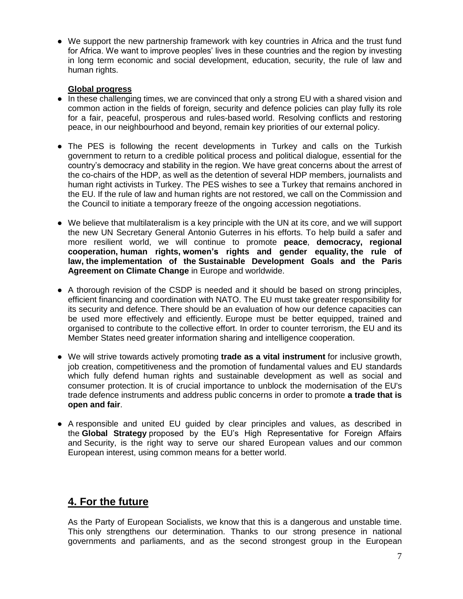● We support the new partnership framework with key countries in Africa and the trust fund for Africa. We want to improve peoples' lives in these countries and the region by investing in long term economic and social development, education, security, the rule of law and human rights.

#### **Global progress**

- In these challenging times, we are convinced that only a strong EU with a shared vision and common action in the fields of foreign, security and defence policies can play fully its role for a fair, peaceful, prosperous and rules-based world. Resolving conflicts and restoring peace, in our neighbourhood and beyond, remain key priorities of our external policy.
- The PES is following the recent developments in Turkey and calls on the Turkish government to return to a credible political process and political dialogue, essential for the country's democracy and stability in the region. We have great concerns about the arrest of the co-chairs of the HDP, as well as the detention of several HDP members, journalists and human right activists in Turkey. The PES wishes to see a Turkey that remains anchored in the EU. If the rule of law and human rights are not restored, we call on the Commission and the Council to initiate a temporary freeze of the ongoing accession negotiations.
- We believe that multilateralism is a key principle with the UN at its core, and we will support the new UN Secretary General Antonio Guterres in his efforts. To help build a safer and more resilient world, we will continue to promote **peace**, **democracy, regional cooperation, human rights, women's rights and gender equality, the rule of law, the implementation of the Sustainable Development Goals and the Paris Agreement on Climate Change** in Europe and worldwide.
- A thorough revision of the CSDP is needed and it should be based on strong principles, efficient financing and coordination with NATO. The EU must take greater responsibility for its security and defence. There should be an evaluation of how our defence capacities can be used more effectively and efficiently. Europe must be better equipped, trained and organised to contribute to the collective effort. In order to counter terrorism, the EU and its Member States need greater information sharing and intelligence cooperation.
- We will strive towards actively promoting **trade as a vital instrument** for inclusive growth, job creation, competitiveness and the promotion of fundamental values and EU standards which fully defend human rights and sustainable development as well as social and consumer protection. It is of crucial importance to unblock the modernisation of the EU's trade defence instruments and address public concerns in order to promote **a trade that is open and fair**.
- A responsible and united EU guided by clear principles and values, as described in the **Global Strategy** proposed by the EU's High Representative for Foreign Affairs and Security, is the right way to serve our shared European values and our common European interest, using common means for a better world.

### **4. For the future**

As the Party of European Socialists, we know that this is a dangerous and unstable time. This only strengthens our determination. Thanks to our strong presence in national governments and parliaments, and as the second strongest group in the European